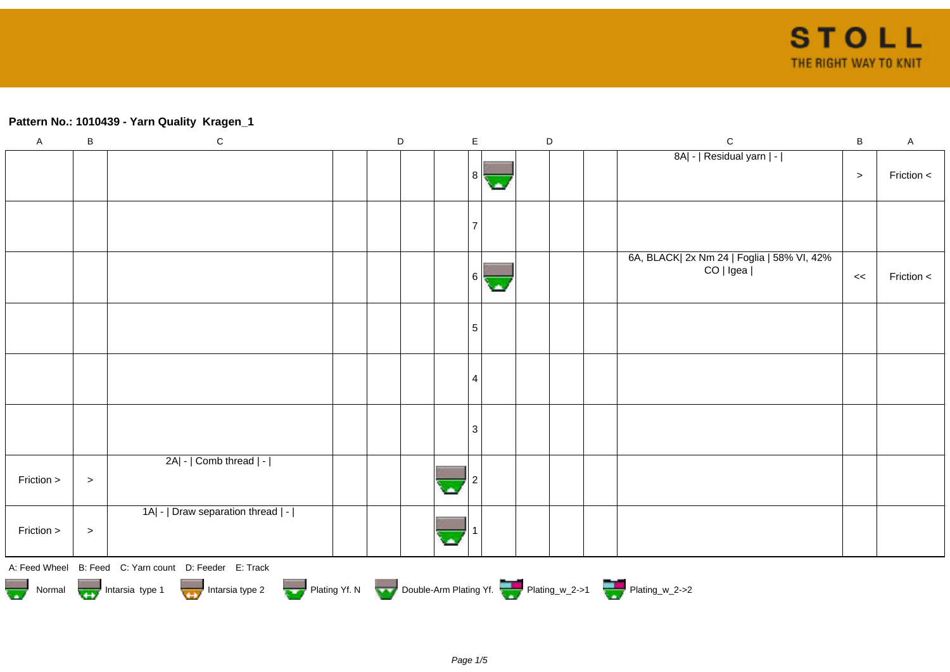## **Pattern No.: 1010439 - Yarn Quality Kragen\_1**

| $\mathsf A$ | $\sf B$                                                                                        | ${\bf C}$                                              |  | $\mathsf D$ |  | $\mathsf E$ |  |  | $\mathsf D$ |  | $\mathsf{C}$                                            | $\sf{B}$ | $\mathsf A$ |
|-------------|------------------------------------------------------------------------------------------------|--------------------------------------------------------|--|-------------|--|-------------|--|--|-------------|--|---------------------------------------------------------|----------|-------------|
|             |                                                                                                |                                                        |  |             |  | 8           |  |  |             |  | 8A  -   Residual yarn   -                               | $\geq$   | Friction <  |
|             |                                                                                                |                                                        |  |             |  |             |  |  |             |  |                                                         |          |             |
|             |                                                                                                |                                                        |  |             |  | 6 I         |  |  |             |  | 6A, BLACK  2x Nm 24   Foglia   58% VI, 42%<br>CO   Igea | <<       | Friction <  |
|             |                                                                                                |                                                        |  |             |  | 5           |  |  |             |  |                                                         |          |             |
|             |                                                                                                |                                                        |  |             |  | 4           |  |  |             |  |                                                         |          |             |
|             |                                                                                                |                                                        |  |             |  | 3           |  |  |             |  |                                                         |          |             |
| Friction >  | $\,>$                                                                                          | 2A  -   Comb thread   -                                |  |             |  |             |  |  |             |  |                                                         |          |             |
| Friction >  | $\, > \,$                                                                                      | 1A  -   Draw separation thread   -                     |  |             |  |             |  |  |             |  |                                                         |          |             |
|             |                                                                                                | A: Feed Wheel B: Feed C: Yarn count D: Feeder E: Track |  |             |  |             |  |  |             |  |                                                         |          |             |
|             | Normal Intarsia type 1 Intarsia type 2 Plating Yf. N Double-Arm Plating Yf. The Plating w_2->1 |                                                        |  |             |  |             |  |  |             |  |                                                         |          |             |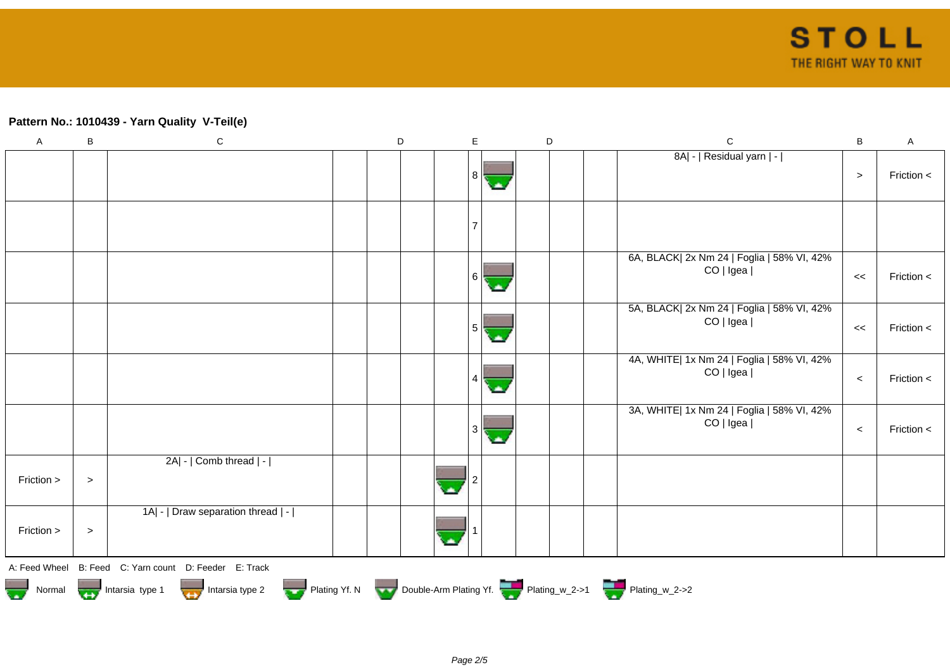## **Pattern No.: 1010439 - Yarn Quality V-Teil(e)**

| $\mathsf A$                                                                                                                                                            | B      | $\mathbf C$                        |  | $\mathsf D$ |  | $\mathsf E$ | $\mathsf D$ |  |  | $\mathbf C$                                             | $\, {\bf B}$ | $\mathsf A$ |
|------------------------------------------------------------------------------------------------------------------------------------------------------------------------|--------|------------------------------------|--|-------------|--|-------------|-------------|--|--|---------------------------------------------------------|--------------|-------------|
|                                                                                                                                                                        |        |                                    |  |             |  | 8           | ٠           |  |  | 8A  -   Residual yarn   -                               | $\,>$        | Friction <  |
|                                                                                                                                                                        |        |                                    |  |             |  |             |             |  |  |                                                         |              |             |
|                                                                                                                                                                        |        |                                    |  |             |  | 6           | с.          |  |  | 6A, BLACK  2x Nm 24   Foglia   58% VI, 42%<br>CO   Igea | $\,<$        | Friction <  |
|                                                                                                                                                                        |        |                                    |  |             |  | 5           | с.          |  |  | 5A, BLACK  2x Nm 24   Foglia   58% VI, 42%<br>CO   Igea | <<           | Friction <  |
|                                                                                                                                                                        |        |                                    |  |             |  | 4           |             |  |  | 4A, WHITE  1x Nm 24   Foglia   58% VI, 42%<br>CO   Igea | $\prec$      | Friction <  |
|                                                                                                                                                                        |        |                                    |  |             |  | 3           | C.          |  |  | 3A, WHITE  1x Nm 24   Foglia   58% VI, 42%<br>CO   Igea | $\prec$      | Friction <  |
| Friction >                                                                                                                                                             | $\, >$ | 2A  -   Comb thread   -            |  |             |  |             |             |  |  |                                                         |              |             |
| Friction >                                                                                                                                                             | $\, >$ | 1A  -   Draw separation thread   - |  |             |  |             |             |  |  |                                                         |              |             |
| A: Feed Wheel B: Feed C: Yarn count D: Feeder E: Track<br>Intarsia type 1 Intarsia type 2 Plating Yf. N Double-Arm Plating Yf. Plating_w_2->1 Plating_w_2->2<br>Normal |        |                                    |  |             |  |             |             |  |  |                                                         |              |             |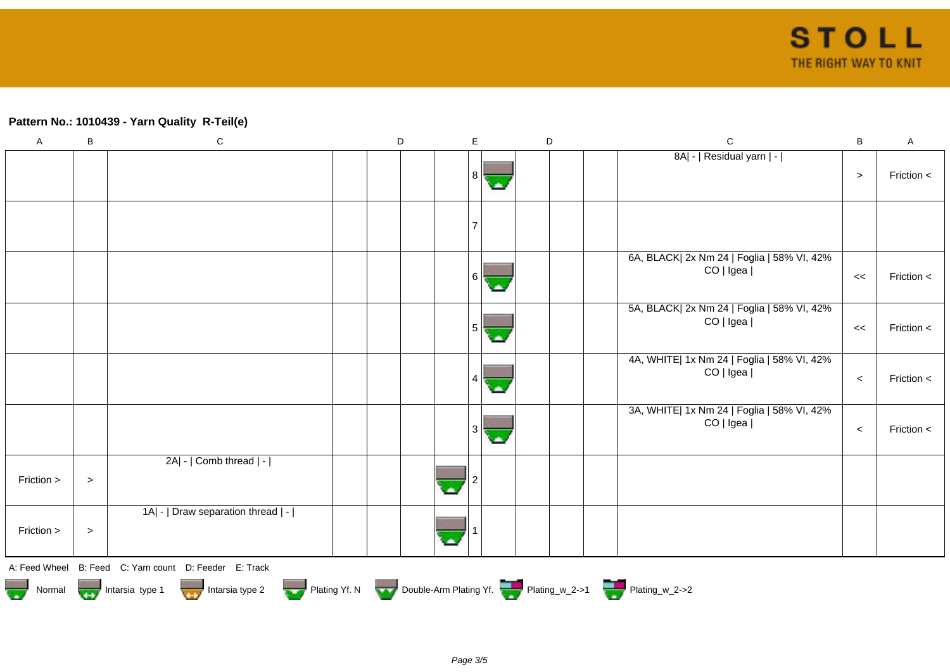## **Pattern No.: 1010439 - Yarn Quality R-Teil(e)**

| $\overline{A}$ | B                                                          | ${\bf C}$                                              |  | $\mathsf D$ |  | $\mathsf{E}$   |  | $\mathsf D$ |  | $\mathbf C$                                             | $\sf B$ | $\mathsf A$ |  |
|----------------|------------------------------------------------------------|--------------------------------------------------------|--|-------------|--|----------------|--|-------------|--|---------------------------------------------------------|---------|-------------|--|
|                |                                                            |                                                        |  |             |  | 8              |  |             |  | 8A  -   Residual yarn   -                               | $\geq$  | Friction <  |  |
|                |                                                            |                                                        |  |             |  | $\overline{7}$ |  |             |  |                                                         |         |             |  |
|                |                                                            |                                                        |  |             |  | $6 \mid$       |  |             |  | 6A, BLACK  2x Nm 24   Foglia   58% VI, 42%<br>CO   Igea | <<      | Friction <  |  |
|                |                                                            |                                                        |  |             |  | 5              |  |             |  | 5A, BLACK  2x Nm 24   Foglia   58% VI, 42%<br>CO   Igea | <<      | Friction <  |  |
|                |                                                            |                                                        |  |             |  |                |  |             |  | 4A, WHITE  1x Nm 24   Foglia   58% VI, 42%<br>CO   Igea | $\prec$ | Friction <  |  |
|                |                                                            |                                                        |  |             |  | 3 <sup>1</sup> |  |             |  | 3A, WHITE  1x Nm 24   Foglia   58% VI, 42%<br>CO   Igea | $\,<\,$ | Friction <  |  |
| Friction >     | $\, >$                                                     | 2A  -   Comb thread   -                                |  |             |  |                |  |             |  |                                                         |         |             |  |
| Friction >     | $\, >$                                                     | 1A  -   Draw separation thread   -                     |  |             |  |                |  |             |  |                                                         |         |             |  |
|                |                                                            | A: Feed Wheel B: Feed C: Yarn count D: Feeder E: Track |  |             |  |                |  |             |  |                                                         |         |             |  |
|                | Normal <b>Double-Arm Plating Yf. Normal</b> Plating_w_2->2 |                                                        |  |             |  |                |  |             |  |                                                         |         |             |  |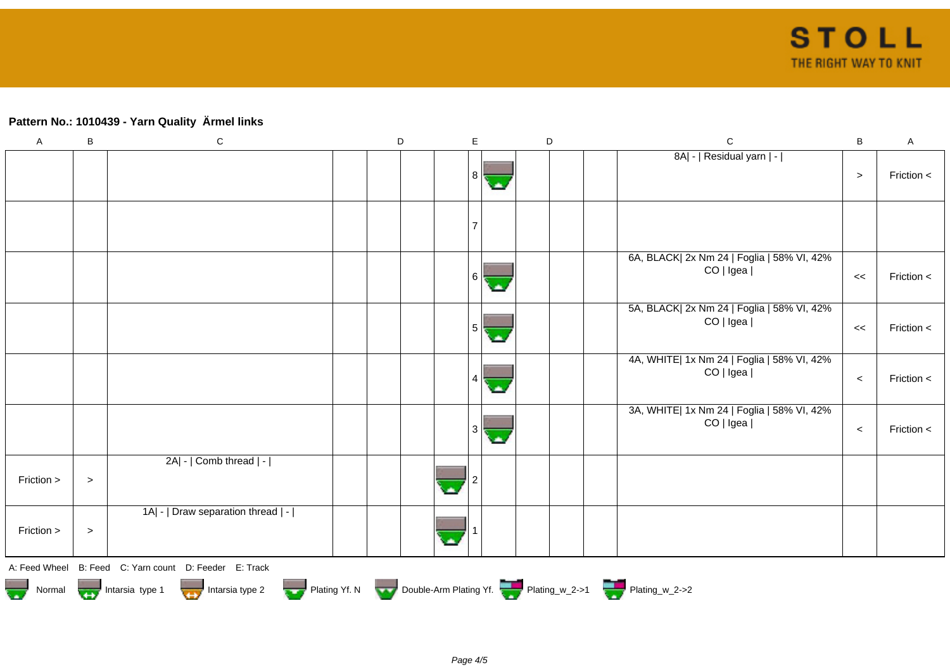# **Pattern No.: 1010439 - Yarn Quality Ärmel links**

| $\mathsf{A}$ | B                                                                                | ${\bf C}$                                              |  | $\mathsf D$ |  | E   |     | $\mathsf D$ |  | $\mathbf C$                                             | $\sf B$ | $\boldsymbol{\mathsf{A}}$ |  |
|--------------|----------------------------------------------------------------------------------|--------------------------------------------------------|--|-------------|--|-----|-----|-------------|--|---------------------------------------------------------|---------|---------------------------|--|
|              |                                                                                  |                                                        |  |             |  | 8   |     |             |  | 8A  -   Residual yarn   -                               | $\geq$  | Friction <                |  |
|              |                                                                                  |                                                        |  |             |  |     |     |             |  |                                                         |         |                           |  |
|              |                                                                                  |                                                        |  |             |  | 6 I |     |             |  | 6A, BLACK  2x Nm 24   Foglia   58% VI, 42%<br>CO   Igea | <<      | Friction <                |  |
|              |                                                                                  |                                                        |  |             |  | 5   | مان |             |  | 5A, BLACK  2x Nm 24   Foglia   58% VI, 42%<br>CO   Igea | <<      | Friction <                |  |
|              |                                                                                  |                                                        |  |             |  |     |     |             |  | 4A, WHITE  1x Nm 24   Foglia   58% VI, 42%<br>CO   Igea | $\,<$   | Friction <                |  |
|              |                                                                                  |                                                        |  |             |  | 3   |     |             |  | 3A, WHITE  1x Nm 24   Foglia   58% VI, 42%<br>CO   Igea | $\,<$   | Friction <                |  |
| Friction >   | $\,>$                                                                            | 2A  -   Comb thread   -                                |  |             |  |     |     |             |  |                                                         |         |                           |  |
| Friction >   | $\,>$                                                                            | 1A  -   Draw separation thread   -                     |  |             |  |     |     |             |  |                                                         |         |                           |  |
|              |                                                                                  | A: Feed Wheel B: Feed C: Yarn count D: Feeder E: Track |  |             |  |     |     |             |  |                                                         |         |                           |  |
|              | Normal 1999 Intarsia type 1 Intarsia type 2 Plating Yf. N Double-Arm Plating Yf. |                                                        |  |             |  |     |     |             |  |                                                         |         |                           |  |